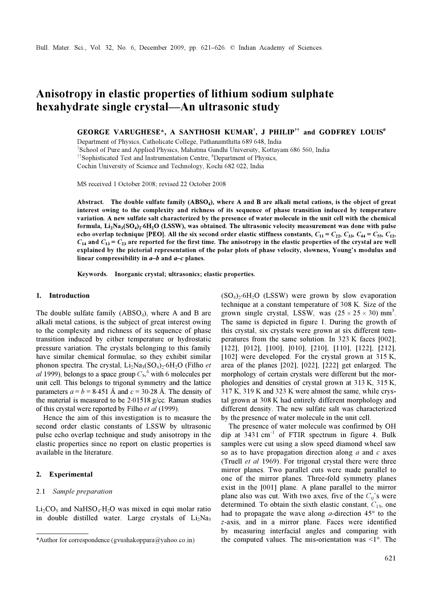# Anisotropy in elastic properties of lithium sodium sulphate hexahydrate single crystal—An ultrasonic study

GEORGE VARUGHESE\*, A SANTHOSH KUMAR<sup>†</sup>, J PHILIP<sup>††</sup> and GODFREY LOUIS<sup>#</sup>

Department of Physics, Catholicate College, Pathanamthitta 689 648, India

† School of Pure and Applied Physics, Mahatma Gandhi University, Kottayam 686 560, India

<sup>††</sup>Sophisticated Test and Instrumentation Centre, <sup>#</sup>Department of Physics,

Cochin University of Science and Technology, Kochi 682 022, India

MS received 1 October 2008; revised 22 October 2008

Abstract. The double sulfate family (ABSO<sub>4</sub>), where A and B are alkali metal cations, is the object of great interest owing to the complexity and richness of its sequence of phase transition induced by temperature variation. A new sulfate salt characterized by the presence of water molecule in the unit cell with the chemical interest owing to the complexity and richness of its sequence of phase transition induced by temperature<br>variation. A new sulfate salt characterized by the presence of water molecule in the unit cell with the chemical<br>form echo overlap technique [PEO]. All the six second order elastic stiffness constants,  $C_{11} = C_{22}$ ,  $C_{33}$ ,  $C_{44} = C_{55}$ ,  $C_{12}$ ,  $C_{14}$  and  $C_{13} = C_{23}$  are reported for the first time. The anisotropy in the elastic properties of the crystal are well explained by the pictorial representation of the polar plots of phase velocity, slowness, Young's modulus and linear compressibility in  $a-b$  and  $a-c$  planes.

Keywords. Inorganic crystal; ultrasonics; elastic properties.

## 1. Introduction

The double sulfate family  $(ABSO<sub>4</sub>)$ , where A and B are alkali metal cations, is the subject of great interest owing to the complexity and richness of its sequence of phase transition induced by either temperature or hydrostatic pressure variation. The crystals belonging to this family have similar chemical formulae, so they exhibit similar phonon spectra. The crystal, Li<sub>2</sub>Na<sub>3</sub>(SO<sub>4</sub>)<sub>2</sub>⋅6H<sub>2</sub>O (Filho *et* al 1999), belongs to a space group  $C_{3y}^5$  with 6 molecules per unit cell. This belongs to trigonal symmetry and the lattice unit cell. This belongs to trigonal symmetry and the lattice parameters  $a = b = 8.451$  Å and  $c = 30.28$  Å. The density of the material is measured to be 2⋅01518 g/cc. Raman studies of this crystal were reported by Filho et al (1999).

 Hence the aim of this investigation is to measure the second order elastic constants of LSSW by ultrasonic pulse echo overlap technique and study anisotropy in the elastic properties since no report on elastic properties is available in the literature.

# 2. Experimental

## 2.1 Sample preparation

 $Li<sub>2</sub>CO<sub>3</sub>$  and NaHSO<sub>4</sub>⋅H<sub>2</sub>O was mixed in equi molar ratio in double distilled water. Large crystals of  $Li<sub>2</sub>Na<sub>3</sub>$   $(SO<sub>4</sub>)<sub>2</sub>·6H<sub>2</sub>O$  (LSSW) were grown by slow evaporation technique at a constant temperature of 308 K. Size of the grown single crystal, LSSW, was  $(25 \times 25 \times 30)$  mm<sup>3</sup>. The same is depicted in figure 1. During the growth of this crystal, six crystals were grown at six different temperatures from the same solution. In 323 K faces [002], [122], [012], [100], [010], [210], [110], [122], [212], [102] were developed. For the crystal grown at 315 K, area of the planes [202], [022], [222] get enlarged. The morphology of certain crystals were different but the morphologies and densities of crystal grown at 313 K, 315 K, 317 K, 319 K and 323 K were almost the same, while crystal grown at 308 K had entirely different morphology and different density. The new sulfate salt was characterized by the presence of water molecule in the unit cell.

 The presence of water molecule was confirmed by OH dip at  $3431 \text{ cm}^{-1}$  of FTIR spectrum in figure 4. Bulk samples were cut using a slow speed diamond wheel saw so as to have propagation direction along  $a$  and  $c$  axes (Truell et al 1969). For trigonal crystal there were three mirror planes. Two parallel cuts were made parallel to one of the mirror planes. Three-fold symmetry planes exist in the [001] plane. A plane parallel to the mirror plane also was cut. With two axes, five of the  $C_{ii}$ 's were determined. To obtain the sixth elastic constant,  $C_{13}$ , one had to propagate the wave along  $a$ -direction  $45^\circ$  to the z-axis, and in a mirror plane. Faces were identified by measuring interfacial angles and comparing with \*Author for correspondence (gvushakoppara@yahoo.co.in) the computed values. The mis-orientation was <1°. The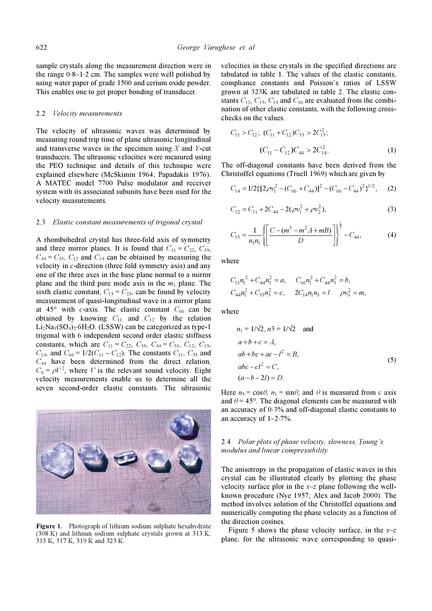sample crystals along the measurement direction were in the range 0⋅8–1⋅2 cm. The samples were well polished by using water paper of grade 1500 and cerium oxide powder. This enables one to get proper bonding of transducer.

### 2.2 Velocity measurements

The velocity of ultrasonic waves was determined by measuring round trip time of plane ultrasonic longitudinal and transverse waves in the specimen using  $X$  and  $Y$ -cut transducers. The ultrasonic velocities were measured using the PEO technique and details of this technique were explained elsewhere (McSkimin 1964; Papadakis 1976). A MATEC model 7700 Pulse modulator and receiver system with its associated subunits have been used for the velocity measurements.

# 2.3 Elastic constant measurements of trigonal crystal

A rhombohedral crystal has three-fold axis of symmetry and three mirror planes. It is found that  $C_{11} = C_{22}$ ,  $C_{33}$ ,  $C_{44} = C_{55}$ ,  $C_{12}$  and  $C_{14}$  can be obtained by measuring the velocity in c-direction (three fold symmetry axis) and any one of the three axes in the base plane normal to a mirror plane and the third pure mode axis in the  $m_1$  plane. The sixth elastic constant,  $C_{13} = C_{23}$ , can be found by velocity measurement of quasi-longitudinal wave in a mirror plane at  $45^{\circ}$  with c-axis. The elastic constant  $C_{66}$  can be obtained by knowing  $C_{11}$  and  $C_{12}$  by the relation  $Li<sub>2</sub>Na<sub>3</sub>(SO<sub>4</sub>)<sub>2</sub>·6H<sub>2</sub>O$ . (LSSW) can be categorized as type-1 trigonal with 6 independent second order elastic stiffness constants, which are  $C_{11} = C_{22}$ ,  $C_{33}$ ,  $C_{44} = C_{55}$ ,  $C_{12}$ ,  $C_{13}$ ,  $C_{14}$ , and  $C_{66} = 1/2(C_{11} - C_{12})$ . The constants  $C_{11}$ ,  $C_{33}$  and  $C_{44}$  have been determined from the direct relation,  $C_{ij} = \rho V^2$ , where V is the relevant sound velocity. Eight velocity measurements enable us to determine all the seven second-order elastic constants. The ultrasonic



Figure 1. Photograph of lithium sodium sulphate hexahydrate (308 K) and lithium sodium sulphate crystals grown at 313 K, 315 K, 317 K, 319 K and 323 K.

velocities in these crystals in the specified directions are tabulated in table 1. The values of the elastic constants, compliance constants and Poisson's ratios of LSSW grown at 323K are tabulated in table 2. The elastic constants  $C_{12}$ ,  $C_{13}$ ,  $C_{14}$  and  $C_{66}$  are evaluated from the combichecks on the values.

values of the value of the following cross-  
checks on the values.

\n
$$
C_{11} > C_{12}; \ (C_{11} + C_{12})C_{33} > 2C_{13}^2;
$$
\n
$$
(C_{11} - C_{12})C_{44} > 2C_{14}^2.
$$
\n(1)

The off-diagonal constants have been derived from the Christoffel equations (Truell 1969) which are given by

$$
C_{14} = 1/2\{ [2\rho v_1^2 - (C_{66} + C_{44})]^2 - (C_{66} - C_{44})^2 \}^{1/2},
$$
 (2)

$$
C_{12} = C_{11} + 2C_{44} - 2(\rho v_1^2 + \rho v_2^2),
$$
\n(3)

$$
C_{13} = \frac{1}{n_3 n_1} \left\{ \left[ \frac{C - (m^3 - m^2 A + mB)}{D} \right] \right\}^{\frac{1}{2}} - C_{44},\tag{4}
$$

where

$$
C_{11}n_1^2 + C_{44}n_3^2 = a, \quad C_{66}n_1^2 + C_{44}n_3^2 = b,
$$
  

$$
C_{44}n_1^2 + C_{33}n_3^2 = c, \quad 2C_{14}n_1n_3 = l \quad \rho v_6^2 = m,
$$

where

$$
n_1 = 1/\sqrt{2}, n_3 = 1/\sqrt{2} \text{ and}
$$
  
\n
$$
a+b+c=A,
$$
  
\n
$$
ab+bc+ac-l^2=B,
$$
  
\n
$$
abc-cl^2=C,
$$
  
\n
$$
(a-b-2l) = D.
$$
  
\n(5)

Here  $n_3 = \cos\theta$ ,  $n_1 = \sin\theta$ , and  $\theta$  is measured from c axis and  $\theta$  = 45°. The diagonal elements can be measured with an accuracy of 0⋅3% and off-diagonal elastic constants to an accuracy of 1–2⋅7%.

# 2.4 Polar plots of phase velocity, slowness, Young's modulus and linear compressibility

The anisotropy in the propagation of elastic waves in this crystal can be illustrated clearly by plotting the phase velocity surface plot in the  $x-z$  plane following the wellknown procedure (Nye 1957; Alex and Jacob 2000). The method involves solution of the Christoffel equations and numerically computing the phase velocity as a function of the direction cosines.

Figure 5 shows the phase velocity surface, in the  $x-z$ plane, for the ultrasonic wave corresponding to quasi-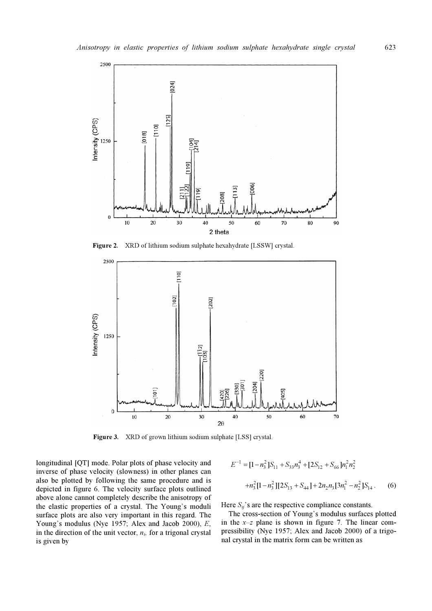

Figure 2. XRD of lithium sodium sulphate hexahydrate [LSSW] crystal.



Figure 3. XRD of grown lithium sodium sulphate [LSS] crystal.

longitudinal [QT] mode. Polar plots of phase velocity and inverse of phase velocity (slowness) in other planes can also be plotted by following the same procedure and is depicted in figure 6. The velocity surface plots outlined above alone cannot completely describe the anisotropy of the elastic properties of a crystal. The Young's moduli surface plots are also very important in this regard. The Young's modulus (Nye 1957; Alex and Jacob 2000), E, in the direction of the unit vector,  $n<sub>i</sub>$ , for a trigonal crystal is given by

$$
E^{-1} = [1 - n_3^2]S_{11} + S_{33}n_3^4 + [2S_{12} + S_{66}]n_1^2n_2^2
$$
  
+  $n_3^2[1 - n_3^2][2S_{13} + S_{44}] + 2n_2n_3[3n_1^2 - n_2^2]S_{14}.$  (6)

Here  $S_{ij}$ 's are the respective compliance constants.

 The cross-section of Young's modulus surfaces plotted in the  $x-z$  plane is shown in figure 7. The linear compressibility (Nye 1957; Alex and Jacob 2000) of a trigonal crystal in the matrix form can be written as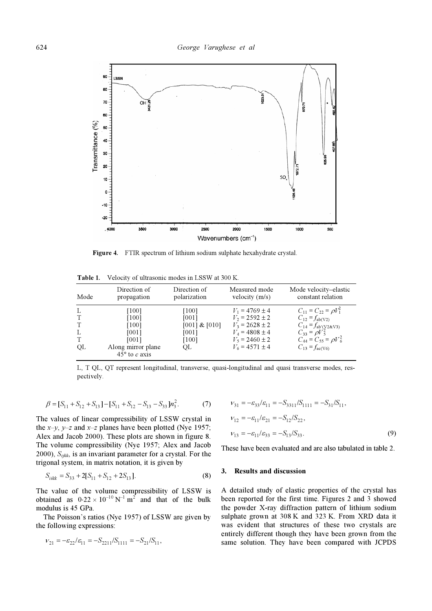

Figure 4. FTIR spectrum of lithium sodium sulphate hexahydrate crystal.

| Mode              | Direction of<br>propagation                                                                 | Direction of<br>polarization                                | Measured mode<br>velocity $(m/s)$                                                                                                    | Mode velocity-elastic<br>constant relation                                                                                                                                           |
|-------------------|---------------------------------------------------------------------------------------------|-------------------------------------------------------------|--------------------------------------------------------------------------------------------------------------------------------------|--------------------------------------------------------------------------------------------------------------------------------------------------------------------------------------|
| L<br>L<br>T<br>OL | $[100]$<br>[100]<br>[100]<br>[001]<br>[001]<br>Along mirror plane<br>$45^{\circ}$ to c axis | [100]<br>[001]<br>$[001]$ & $[010]$<br>[001]<br>[100]<br>OL | $V_1$ = 4769 $\pm$ 4<br>$V_2$ = 2592 $\pm$ 2<br>$V_3$ = 2628 ± 2<br>$V_4$ = 4808 ± 4<br>$V_5$ = 2460 $\pm$ 2<br>$V_6$ = 4571 $\pm$ 4 | $C_{11} = C_{22} = \rho V_1^2$<br>$C_{12} = f_{ab(V2)}$<br>$C_{14} = f_{\text{ab}'}(y_2 \& v_3)$<br>$C_{33} = \rho V_5^2$<br>$C_{44} = C_{55} = \rho V_6^2$<br>$C_{13} = f_{ac(V6)}$ |

Table 1. Velocity of ultrasonic modes in LSSW at 300 K.

L, T QL, QT represent longitudinal, transverse, quasi-longitudinal and quasi transverse modes, respectively.

$$
\beta = [S_{11} + S_{12} + S_{13}] - [S_{11} + S_{12} - S_{13} - S_{33}]n_3^2.
$$
 (7)

The values of linear compressibility of LSSW crystal in the  $x-y$ ,  $y-z$  and  $x-z$  planes have been plotted (Nye 1957; Alex and Jacob 2000). These plots are shown in figure 8. The volume compressibility (Nye 1957; Alex and Jacob 2000),  $S_{ijkk}$ , is an invariant parameter for a crystal. For the trigonal system, in matrix notation, it is given by

$$
S_{iikk} = S_{33} + 2[S_{11} + S_{12} + 2S_{13}].
$$
 (8)

The value of the volume compressibility of LSSW is obtained as  $0.22 \times 10^{-10} \text{ N}^{-1} \text{ m}^2$  and that of the bulk modulus is 45 GPa.

 The Poisson's ratios (Nye 1957) of LSSW are given by the following expressions:

$$
V_{21} = -\varepsilon_{22}/\varepsilon_{11} = -S_{2211}/S_{1111} = -S_{21}/S_{11},
$$

$$
\nu_{31} = -\varepsilon_{33}/\varepsilon_{11} = -S_{3311}/S_{1111} = -S_{31}/S_{11},
$$
  
\n
$$
\nu_{12} = -\varepsilon_{11}/\varepsilon_{21} = -S_{12}/S_{22},
$$
  
\n
$$
\nu_{13} = -\varepsilon_{11}/\varepsilon_{33} = -S_{13}/S_{33}.
$$
 (9)

These have been evaluated and are also tabulated in table 2.

# 3. Results and discussion

A detailed study of elastic properties of the crystal has been reported for the first time. Figures 2 and 3 showed the powder X-ray diffraction pattern of lithium sodium sulphate grown at 308 K and 323 K. From XRD data it was evident that structures of these two crystals are entirely different though they have been grown from the same solution. They have been compared with JCPDS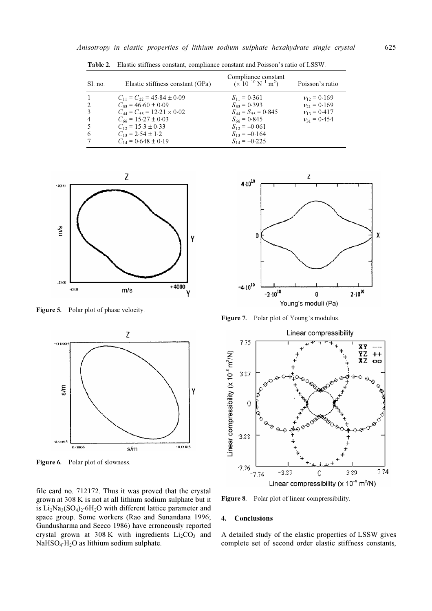| $S1$ no.       | Elastic stiffness constant (GPa)      | Compliance constant<br>$(x\ 10^{-10} N^{-1} m^2)$ | Poisson's ratio  |
|----------------|---------------------------------------|---------------------------------------------------|------------------|
|                | $C_{11} = C_{22} = 45.84 \pm 0.09$    | $S_{11} = 0.361$                                  | $v_{12} = 0.169$ |
|                | $C_{33} = 46.60 \pm 0.09$             | $S_{33} = 0.393$                                  | $v_{21} = 0.169$ |
|                | $C_{44} = C_{55} = 12.21 \times 0.02$ | $S_{44} = S_{55} = 0.845$                         | $v_{13} = 0.417$ |
| $\overline{4}$ | $C_{66} = 15.27 \pm 0.03$             | $S_{66} = 0.845$                                  | $v_{31} = 0.454$ |
|                | $C_{12} = 15.3 \pm 0.33$              | $S_{12} = -0.061$                                 |                  |
| 6              | $C_{13} = 2.54 \pm 1.2$               | $S_{13} = -0.164$                                 |                  |
|                | $C_{14} = 0.648 \pm 0.19$             | $S_{14} = -0.225$                                 |                  |

Table 2. Elastic stiffness constant, compliance constant and Poisson's ratio of LSSW.



Figure 5. Polar plot of phase velocity.



Figure 6. Polar plot of slowness.

file card no. 712172. Thus it was proved that the crystal grown at 308 K is not at all lithium sodium sulphate but it is Li<sub>2</sub>Na<sub>3</sub>(SO<sub>4</sub>)<sub>2</sub>⋅6H<sub>2</sub>O with different lattice parameter and space group. Some workers (Rao and Sunandana 1996; Gundusharma and Seeco 1986) have erroneously reported crystal grown at 308 K with ingredients  $Li<sub>2</sub>CO<sub>3</sub>$  and NaHSO4⋅H2O as lithium sodium sulphate.



Figure 7. Polar plot of Young's modulus.



Figure 8. Polar plot of linear compressibility.

### 4. Conclusions

A detailed study of the elastic properties of LSSW gives complete set of second order elastic stiffness constants,